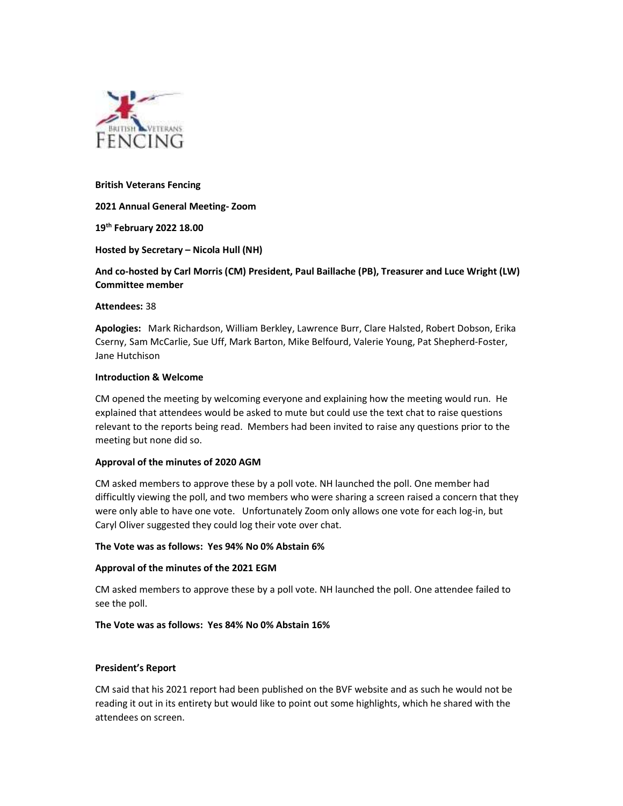

#### British Veterans Fencing

2021 Annual General Meeting- Zoom

19<sup>th</sup> February 2022 18.00

## Hosted by Secretary – Nicola Hull (NH)

# And co-hosted by Carl Morris (CM) President, Paul Baillache (PB), Treasurer and Luce Wright (LW) Committee member

#### Attendees: 38

Apologies: Mark Richardson, William Berkley, Lawrence Burr, Clare Halsted, Robert Dobson, Erika Cserny, Sam McCarlie, Sue Uff, Mark Barton, Mike Belfourd, Valerie Young, Pat Shepherd-Foster, Jane Hutchison

#### Introduction & Welcome

CM opened the meeting by welcoming everyone and explaining how the meeting would run. He explained that attendees would be asked to mute but could use the text chat to raise questions relevant to the reports being read. Members had been invited to raise any questions prior to the meeting but none did so.

## Approval of the minutes of 2020 AGM

CM asked members to approve these by a poll vote. NH launched the poll. One member had difficultly viewing the poll, and two members who were sharing a screen raised a concern that they were only able to have one vote. Unfortunately Zoom only allows one vote for each log-in, but Caryl Oliver suggested they could log their vote over chat.

#### The Vote was as follows: Yes 94% No 0% Abstain 6%

## Approval of the minutes of the 2021 EGM

CM asked members to approve these by a poll vote. NH launched the poll. One attendee failed to see the poll.

## The Vote was as follows: Yes 84% No 0% Abstain 16%

## President's Report

CM said that his 2021 report had been published on the BVF website and as such he would not be reading it out in its entirety but would like to point out some highlights, which he shared with the attendees on screen.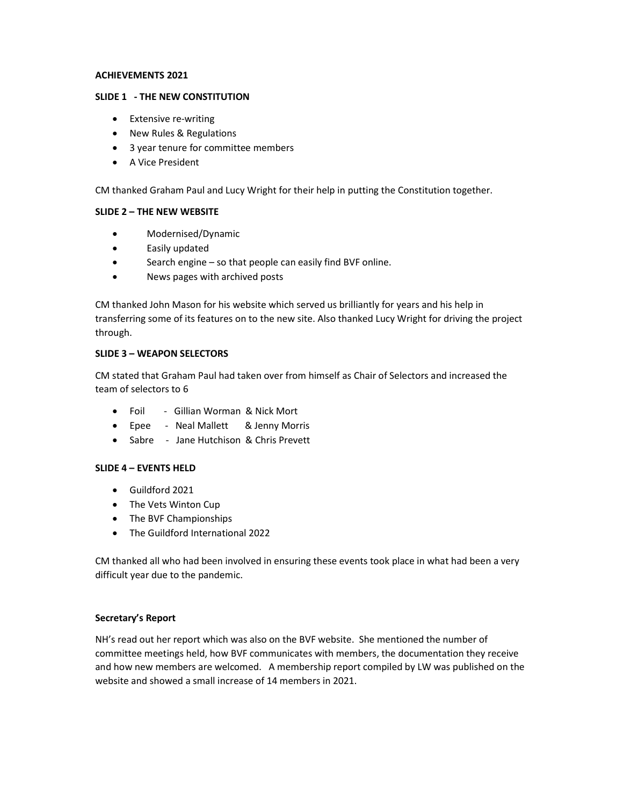#### ACHIEVEMENTS 2021

#### SLIDE 1 - THE NEW CONSTITUTION

- Extensive re-writing
- New Rules & Regulations
- 3 year tenure for committee members
- A Vice President

CM thanked Graham Paul and Lucy Wright for their help in putting the Constitution together.

## SLIDE 2 – THE NEW WEBSITE

- Modernised/Dynamic
- Easily updated
- Search engine so that people can easily find BVF online.
- News pages with archived posts

CM thanked John Mason for his website which served us brilliantly for years and his help in transferring some of its features on to the new site. Also thanked Lucy Wright for driving the project through.

## SLIDE 3 – WEAPON SELECTORS

CM stated that Graham Paul had taken over from himself as Chair of Selectors and increased the team of selectors to 6

- Foil Gillian Worman & Nick Mort
- Epee Neal Mallett & Jenny Morris
- Sabre Jane Hutchison & Chris Prevett

## SLIDE 4 – EVENTS HELD

- Guildford 2021
- The Vets Winton Cup
- The BVF Championships
- The Guildford International 2022

CM thanked all who had been involved in ensuring these events took place in what had been a very difficult year due to the pandemic.

## Secretary's Report

NH's read out her report which was also on the BVF website. She mentioned the number of committee meetings held, how BVF communicates with members, the documentation they receive and how new members are welcomed. A membership report compiled by LW was published on the website and showed a small increase of 14 members in 2021.